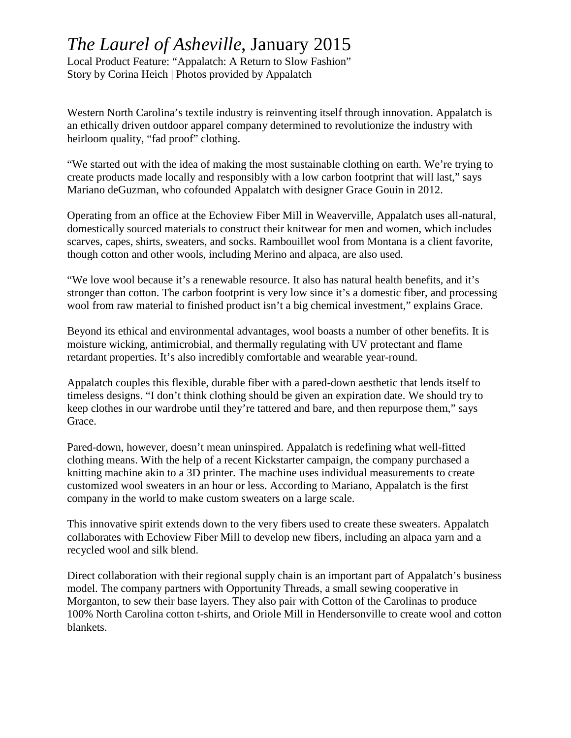## *The Laurel of Asheville*, January 2015

Local Product Feature: "Appalatch: A Return to Slow Fashion" Story by Corina Heich | Photos provided by Appalatch

Western North Carolina's textile industry is reinventing itself through innovation. Appalatch is an ethically driven outdoor apparel company determined to revolutionize the industry with heirloom quality, "fad proof" clothing.

"We started out with the idea of making the most sustainable clothing on earth. We're trying to create products made locally and responsibly with a low carbon footprint that will last," says Mariano deGuzman, who cofounded Appalatch with designer Grace Gouin in 2012.

Operating from an office at the Echoview Fiber Mill in Weaverville, Appalatch uses all-natural, domestically sourced materials to construct their knitwear for men and women, which includes scarves, capes, shirts, sweaters, and socks. Rambouillet wool from Montana is a client favorite, though cotton and other wools, including Merino and alpaca, are also used.

"We love wool because it's a renewable resource. It also has natural health benefits, and it's stronger than cotton. The carbon footprint is very low since it's a domestic fiber, and processing wool from raw material to finished product isn't a big chemical investment," explains Grace.

Beyond its ethical and environmental advantages, wool boasts a number of other benefits. It is moisture wicking, antimicrobial, and thermally regulating with UV protectant and flame retardant properties. It's also incredibly comfortable and wearable year-round.

Appalatch couples this flexible, durable fiber with a pared-down aesthetic that lends itself to timeless designs. "I don't think clothing should be given an expiration date. We should try to keep clothes in our wardrobe until they're tattered and bare, and then repurpose them," says Grace.

Pared-down, however, doesn't mean uninspired. Appalatch is redefining what well-fitted clothing means. With the help of a recent Kickstarter campaign, the company purchased a knitting machine akin to a 3D printer. The machine uses individual measurements to create customized wool sweaters in an hour or less. According to Mariano, Appalatch is the first company in the world to make custom sweaters on a large scale.

This innovative spirit extends down to the very fibers used to create these sweaters. Appalatch collaborates with Echoview Fiber Mill to develop new fibers, including an alpaca yarn and a recycled wool and silk blend.

Direct collaboration with their regional supply chain is an important part of Appalatch's business model. The company partners with Opportunity Threads, a small sewing cooperative in Morganton, to sew their base layers. They also pair with Cotton of the Carolinas to produce 100% North Carolina cotton t-shirts, and Oriole Mill in Hendersonville to create wool and cotton blankets.